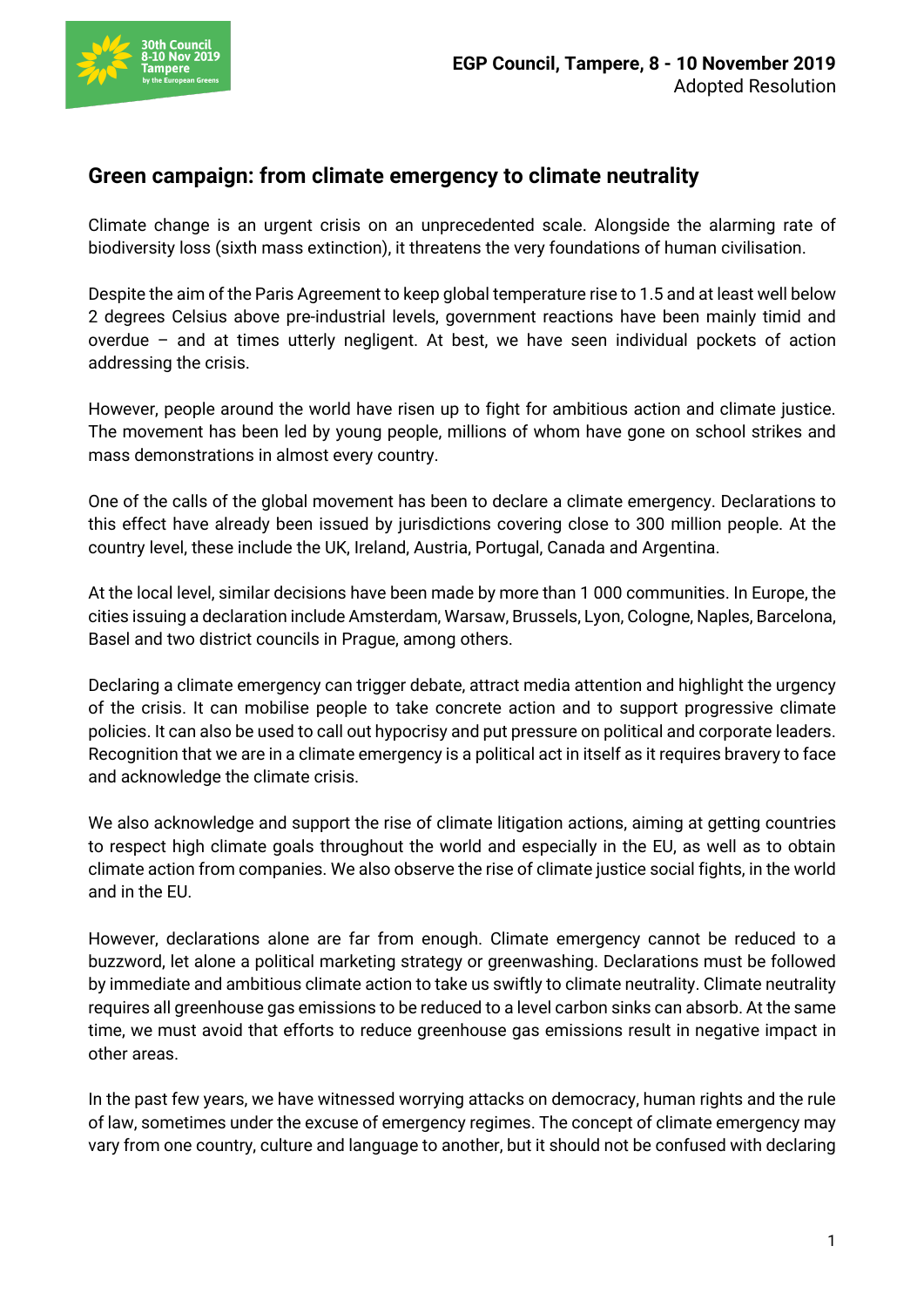

## **Green campaign: from climate emergency to climate neutrality**

Climate change is an urgent crisis on an unprecedented scale. Alongside the alarming rate of biodiversity loss (sixth mass extinction), it threatens the very foundations of human civilisation.

Despite the aim of the Paris Agreement to keep global temperature rise to 1.5 and at least well below 2 degrees Celsius above pre-industrial levels, government reactions have been mainly timid and overdue – and at times utterly negligent. At best, we have seen individual pockets of action addressing the crisis.

However, people around the world have risen up to fight for ambitious action and climate justice. The movement has been led by young people, millions of whom have gone on school strikes and mass demonstrations in almost every country.

One of the calls of the global movement has been to declare a climate emergency. Declarations to this effect have already been issued by jurisdictions covering close to 300 million people. At the country level, these include the UK, Ireland, Austria, Portugal, Canada and Argentina.

At the local level, similar decisions have been made by more than 1 000 communities. In Europe, the cities issuing a declaration include Amsterdam, Warsaw, Brussels, Lyon, Cologne, Naples, Barcelona, Basel and two district councils in Prague, among others.

Declaring a climate emergency can trigger debate, attract media attention and highlight the urgency of the crisis. It can mobilise people to take concrete action and to support progressive climate policies. It can also be used to call out hypocrisy and put pressure on political and corporate leaders. Recognition that we are in a climate emergency is a political act in itself as it requires bravery to face and acknowledge the climate crisis.

We also acknowledge and support the rise of climate litigation actions, aiming at getting countries to respect high climate goals throughout the world and especially in the EU, as well as to obtain climate action from companies. We also observe the rise of climate justice social fights, in the world and in the EU.

However, declarations alone are far from enough. Climate emergency cannot be reduced to a buzzword, let alone a political marketing strategy or greenwashing. Declarations must be followed by immediate and ambitious climate action to take us swiftly to climate neutrality. Climate neutrality requires all greenhouse gas emissions to be reduced to a level carbon sinks can absorb. At the same time, we must avoid that efforts to reduce greenhouse gas emissions result in negative impact in other areas.

In the past few years, we have witnessed worrying attacks on democracy, human rights and the rule of law, sometimes under the excuse of emergency regimes. The concept of climate emergency may vary from one country, culture and language to another, but it should not be confused with declaring